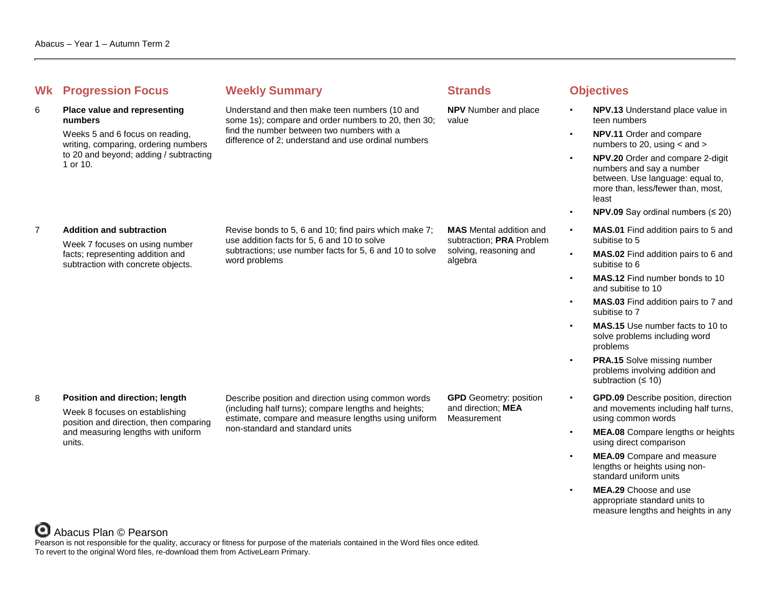# **Whenever Summary Weekly Summary Strands Objectives**

# 6 **Place value and representing numbers**

Weeks 5 and 6 focus on reading, writing, comparing, ordering numbers to 20 and beyond; adding / subtracting 1 or 10.

Understand and then make teen numbers (10 and some 1s); compare and order numbers to 20, then 30; find the number between two numbers with a difference of 2; understand and use ordinal numbers

Revise bonds to 5, 6 and 10; find pairs which make 7;

subtractions; use number facts for 5, 6 and 10 to solve

use addition facts for 5, 6 and 10 to solve

word problems

algebra

**NPV** Number and place value

**MAS** Mental addition and subtraction; **PRA** Problem solving, reasoning and

- **NPV.13** Understand place value in teen numbers
- **NPV.11** Order and compare numbers to 20, using  $<$  and  $>$
- **NPV.20** Order and compare 2-digit numbers and say a number between. Use language: equal to, more than, less/fewer than, most, least
- **NPV.09** Say ordinal numbers (≤ 20)
- **MAS.01** Find addition pairs to 5 and subitise to 5
- **MAS.02** Find addition pairs to 6 and subitise to 6
- **MAS.12** Find number bonds to 10 and subitise to 10
- **MAS.03** Find addition pairs to 7 and subitise to 7
- **MAS.15** Use number facts to 10 to solve problems including word problems
- **PRA.15** Solve missing number problems involving addition and subtraction (≤ 10)
- **GPD.09** Describe position, direction and movements including half turns, using common words
- **MEA.08** Compare lengths or heights using direct comparison
- **MEA.09** Compare and measure lengths or heights using nonstandard uniform units
- **MEA.29** Choose and use appropriate standard units to measure lengths and heights in any

# 7 **Addition and subtraction**

Week 7 focuses on using number facts; representing addition and subtraction with concrete objects.

### 8 **Position and direction; length**

Week 8 focuses on establishing position and direction, then comparing and measuring lengths with uniform units.

Describe position and direction using common words (including half turns); compare lengths and heights; estimate, compare and measure lengths using uniform non-standard and standard units

**GPD** Geometry: position and direction; **MEA** Measurement

Abacus Plan © Pearson

Pearson is not responsible for the quality, accuracy or fitness for purpose of the materials contained in the Word files once edited. To revert to the original Word files, re-download them from ActiveLearn Primary.